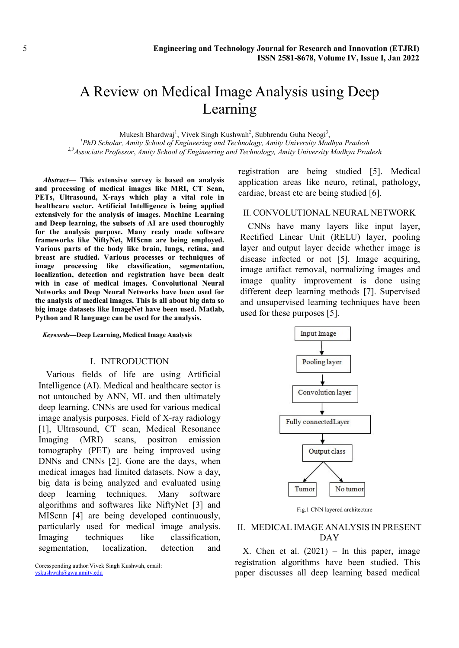# A Review on Medical Image Analysis using Deep Learning

Mukesh Bhardwaj<sup>1</sup>, Vivek Singh Kushwah<sup>2</sup>, Subhrendu Guha Neogi<sup>3</sup>,

 $1$ PhD Scholar, Amity School of Engineering and Technology, Amity University Madhya Pradesh <sup>2,3</sup> Associate Professor, Amity School of Engineering and Technology, Amity University Madhya Pradesh

Abstract— This extensive survey is based on analysis and processing of medical images like MRI, CT Scan, PETs, Ultrasound, X-rays which play a vital role in healthcare sector. Artificial Intelligence is being applied extensively for the analysis of images. Machine Learning and Deep learning, the subsets of AI are used thouroghly for the analysis purpose. Many ready made software frameworks like NiftyNet, MIScnn are being employed. Various parts of the body like brain, lungs, retina, and breast are studied. Various processes or techniques of image processing like classification, segmentation, localization, detection and registration have been dealt with in case of medical images. Convolutional Neural Networks and Deep Neural Networks have been used for the analysis of medical images. This is all about big data so big image datasets like ImageNet have been used. Matlab, Python and R language can be used for the analysis.

Keywords—Deep Learning, Medical Image Analysis

## I. INTRODUCTION

Various fields of life are using Artificial Intelligence (AI). Medical and healthcare sector is not untouched by ANN, ML and then ultimately deep learning. CNNs are used for various medical image analysis purposes. Field of X-ray radiology [1], Ultrasound, CT scan, Medical Resonance Imaging (MRI) scans, positron emission tomography (PET) are being improved using DNNs and CNNs [2]. Gone are the days, when medical images had limited datasets. Now a day, big data is being analyzed and evaluated using deep learning techniques. Many software algorithms and softwares like NiftyNet [3] and MIScnn [4] are being developed continuously, particularly used for medical image analysis. Imaging techniques like classification, segmentation, localization, detection and

Coressponding author:Vivek Singh Kushwah, email: vskushwah@gwa.amity.edu

registration are being studied [5]. Medical application areas like neuro, retinal, pathology, cardiac, breast etc are being studied [6].

## II. CONVOLUTIONAL NEURAL NETWORK

CNNs have many layers like input layer, Rectified Linear Unit (RELU) layer, pooling layer and output layer decide whether image is disease infected or not [5]. Image acquiring, image artifact removal, normalizing images and image quality improvement is done using different deep learning methods [7]. Supervised and unsupervised learning techniques have been used for these purposes [5].



Fig.1 CNN layered architecture

## II. MEDICAL IMAGE ANALYSIS IN PRESENT DAY

X. Chen et al.  $(2021)$  – In this paper, image registration algorithms have been studied. This paper discusses all deep learning based medical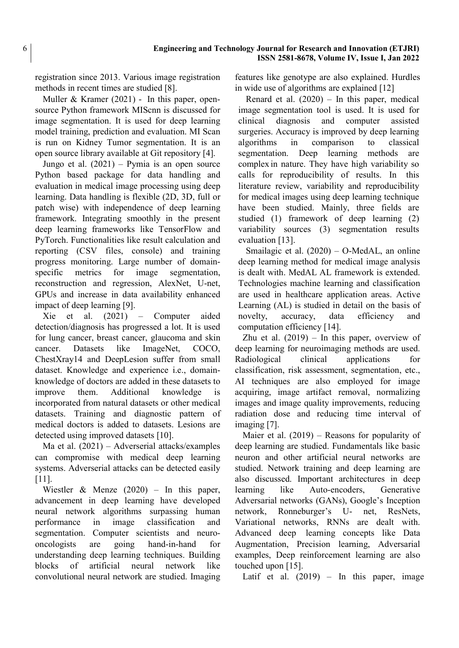registration since 2013. Various image registration methods in recent times are studied [8].

Muller & Kramer (2021) - In this paper, opensource Python framework MIScnn is discussed for image segmentation. It is used for deep learning model training, prediction and evaluation. MI Scan is run on Kidney Tumor segmentation. It is an open source library available at Git repository [4].

Jungo et al. (2021) – Pymia is an open source Python based package for data handling and evaluation in medical image processing using deep learning. Data handling is flexible (2D, 3D, full or patch wise) with independence of deep learning framework. Integrating smoothly in the present deep learning frameworks like TensorFlow and PyTorch. Functionalities like result calculation and reporting (CSV files, console) and training progress monitoring. Large number of domainspecific metrics for image segmentation, reconstruction and regression, AlexNet, U-net, GPUs and increase in data availability enhanced impact of deep learning [9].

Xie et al. (2021) – Computer aided detection/diagnosis has progressed a lot. It is used for lung cancer, breast cancer, glaucoma and skin cancer. Datasets like ImageNet, COCO, ChestXray14 and DeepLesion suffer from small dataset. Knowledge and experience i.e., domainknowledge of doctors are added in these datasets to improve them. Additional knowledge is incorporated from natural datasets or other medical datasets. Training and diagnostic pattern of medical doctors is added to datasets. Lesions are detected using improved datasets [10].

Ma et al. (2021) – Adverserial attacks/examples can compromise with medical deep learning systems. Adverserial attacks can be detected easily [11].

Wiestler  $\&$  Menze (2020) – In this paper, advancement in deep learning have developed neural network algorithms surpassing human performance in image classification and segmentation. Computer scientists and neurooncologists are going hand-in-hand for understanding deep learning techniques. Building blocks of artificial neural network like convolutional neural network are studied. Imaging

features like genotype are also explained. Hurdles in wide use of algorithms are explained [12]

Renard et al.  $(2020)$  – In this paper, medical image segmentation tool is used. It is used for clinical diagnosis and computer assisted surgeries. Accuracy is improved by deep learning algorithms in comparison to classical segmentation. Deep learning methods are complex in nature. They have high variability so calls for reproducibility of results. In this literature review, variability and reproducibility for medical images using deep learning technique have been studied. Mainly, three fields are studied (1) framework of deep learning (2) variability sources (3) segmentation results evaluation [13].

Smailagic et al. (2020) – O-MedAL, an online deep learning method for medical image analysis is dealt with. MedAL AL framework is extended. Technologies machine learning and classification are used in healthcare application areas. Active Learning (AL) is studied in detail on the basis of novelty, accuracy, data efficiency and computation efficiency [14].

Zhu et al.  $(2019)$  – In this paper, overview of deep learning for neuroimaging methods are used. Radiological clinical applications for classification, risk assessment, segmentation, etc., AI techniques are also employed for image acquiring, image artifact removal, normalizing images and image quality improvements, reducing radiation dose and reducing time interval of imaging [7].

Maier et al. (2019) – Reasons for popularity of deep learning are studied. Fundamentals like basic neuron and other artificial neural networks are studied. Network training and deep learning are also discussed. Important architectures in deep learning like Auto-encoders, Generative Adversarial networks (GANs), Google's Inception network, Ronneburger's U- net, ResNets, Variational networks, RNNs are dealt with. Advanced deep learning concepts like Data Augmentation, Precision learning, Adversarial examples, Deep reinforcement learning are also touched upon [15].

Latif et al.  $(2019)$  – In this paper, image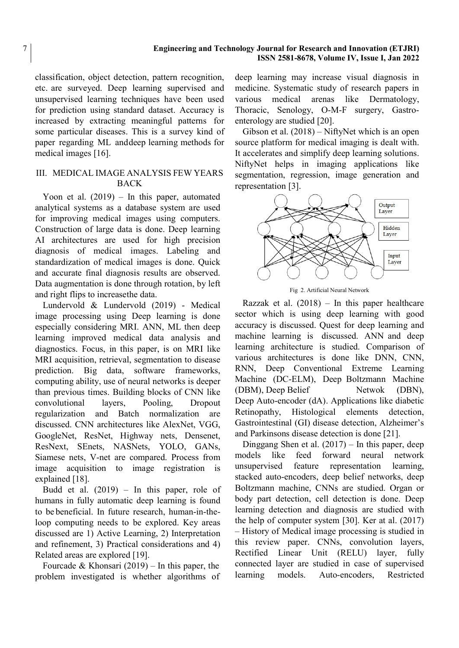classification, object detection, pattern recognition, etc. are surveyed. Deep learning supervised and unsupervised learning techniques have been used for prediction using standard dataset. Accuracy is increased by extracting meaningful patterns for some particular diseases. This is a survey kind of paper regarding ML and deep learning methods for medical images [16].

## III. MEDICAL IMAGE ANALYSIS FEW YEARS **BACK**

Yoon et al. (2019) – In this paper, automated analytical systems as a database system are used for improving medical images using computers. Construction of large data is done. Deep learning AI architectures are used for high precision diagnosis of medical images. Labeling and standardization of medical images is done. Quick and accurate final diagnosis results are observed. Data augmentation is done through rotation, by left and right flips to increase the data.

Lundervold & Lundervold (2019) - Medical image processing using Deep learning is done especially considering MRI. ANN, ML then deep learning improved medical data analysis and diagnostics. Focus, in this paper, is on MRI like MRI acquisition, retrieval, segmentation to disease prediction. Big data, software frameworks, computing ability, use of neural networks is deeper than previous times. Building blocks of CNN like convolutional layers, Pooling, Dropout regularization and Batch normalization are discussed. CNN architectures like AlexNet, VGG, GoogleNet, ResNet, Highway nets, Densenet, ResNext, SEnets, NASNets, YOLO, GANs, Siamese nets, V-net are compared. Process from image acquisition to image registration is explained [18].

Budd et al. (2019) – In this paper, role of humans in fully automatic deep learning is found to be beneficial. In future research, human-in-theloop computing needs to be explored. Key areas discussed are 1) Active Learning, 2) Interpretation and refinement, 3) Practical considerations and 4) Related areas are explored [19].

Fourcade & Khonsari  $(2019)$  – In this paper, the problem investigated is whether algorithms of

deep learning may increase visual diagnosis in medicine. Systematic study of research papers in various medical arenas like Dermatology, Thoracic, Senology, O-M-F surgery, Gastroenterology are studied [20].

Gibson et al. (2018) – NiftyNet which is an open source platform for medical imaging is dealt with. It accelerates and simplify deep learning solutions. NiftyNet helps in imaging applications like segmentation, regression, image generation and representation [3].



Fig 2. Artificial Neural Network

Razzak et al.  $(2018)$  – In this paper healthcare sector which is using deep learning with good accuracy is discussed. Quest for deep learning and machine learning is discussed. ANN and deep learning architecture is studied. Comparison of various architectures is done like DNN, CNN, RNN, Deep Conventional Extreme Learning Machine (DC-ELM), Deep Boltzmann Machine (DBM), Deep Belief Netwok (DBN), Deep Auto-encoder (dA). Applications like diabetic Retinopathy, Histological elements detection, Gastrointestinal (GI) disease detection, Alzheimer's and Parkinsons disease detection is done [21].

Dinggang Shen et al.  $(2017)$  – In this paper, deep models like feed forward neural network unsupervised feature representation learning, stacked auto-encoders, deep belief networks, deep Boltzmann machine, CNNs are studied. Organ or body part detection, cell detection is done. Deep learning detection and diagnosis are studied with the help of computer system [30]. Ker at al. (2017) – History of Medical image processing is studied in this review paper. CNNs, convolution layers, Rectified Linear Unit (RELU) layer, fully connected layer are studied in case of supervised learning models. Auto-encoders, Restricted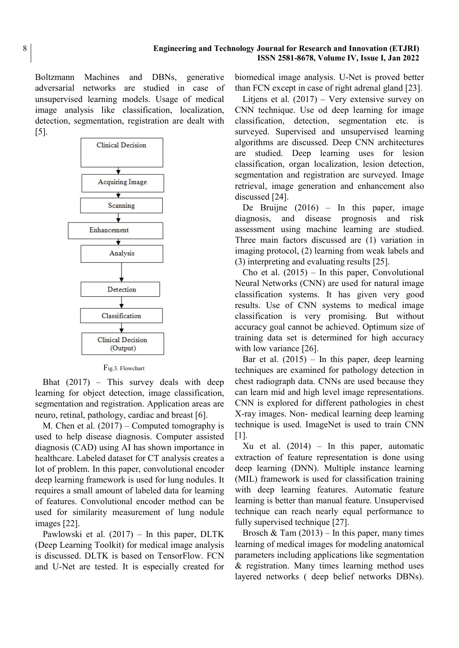Boltzmann Machines and DBNs, generative adversarial networks are studied in case of unsupervised learning models. Usage of medical image analysis like classification, localization, detection, segmentation, registration are dealt with [5].



#### <sup>F</sup>ig.3. Flowchart

Bhat  $(2017)$  – This survey deals with deep learning for object detection, image classification, segmentation and registration. Application areas are neuro, retinal, pathology, cardiac and breast [6].

M. Chen et al. (2017) – Computed tomography is used to help disease diagnosis. Computer assisted diagnosis (CAD) using AI has shown importance in healthcare. Labeled dataset for CT analysis creates a lot of problem. In this paper, convolutional encoder deep learning framework is used for lung nodules. It requires a small amount of labeled data for learning of features. Convolutional encoder method can be used for similarity measurement of lung nodule images [22].

Pawlowski et al. (2017) – In this paper, DLTK (Deep Learning Toolkit) for medical image analysis is discussed. DLTK is based on TensorFlow. FCN and U-Net are tested. It is especially created for

biomedical image analysis. U-Net is proved better than FCN except in case of right adrenal gland [23].

Litjens et al. (2017) – Very extensive survey on CNN technique. Use od deep learning for image classification, detection, segmentation etc. is surveyed. Supervised and unsupervised learning algorithms are discussed. Deep CNN architectures are studied. Deep learning uses for lesion classification, organ localization, lesion detection, segmentation and registration are surveyed. Image retrieval, image generation and enhancement also discussed [24].

De Bruijne (2016) – In this paper, image diagnosis, and disease prognosis and risk assessment using machine learning are studied. Three main factors discussed are (1) variation in imaging protocol, (2) learning from weak labels and (3) interpreting and evaluating results [25].

Cho et al.  $(2015)$  – In this paper, Convolutional Neural Networks (CNN) are used for natural image classification systems. It has given very good results. Use of CNN systems to medical image classification is very promising. But without accuracy goal cannot be achieved. Optimum size of training data set is determined for high accuracy with low variance [26].

Bar et al.  $(2015)$  – In this paper, deep learning techniques are examined for pathology detection in chest radiograph data. CNNs are used because they can learn mid and high level image representations. CNN is explored for different pathologies in chest X-ray images. Non- medical learning deep learning technique is used. ImageNet is used to train CNN [1].

Xu et al.  $(2014)$  – In this paper, automatic extraction of feature representation is done using deep learning (DNN). Multiple instance learning (MIL) framework is used for classification training with deep learning features. Automatic feature learning is better than manual feature. Unsupervised technique can reach nearly equal performance to fully supervised technique [27].

Brosch & Tam  $(2013)$  – In this paper, many times learning of medical images for modeling anatomical parameters including applications like segmentation & registration. Many times learning method uses layered networks ( deep belief networks DBNs).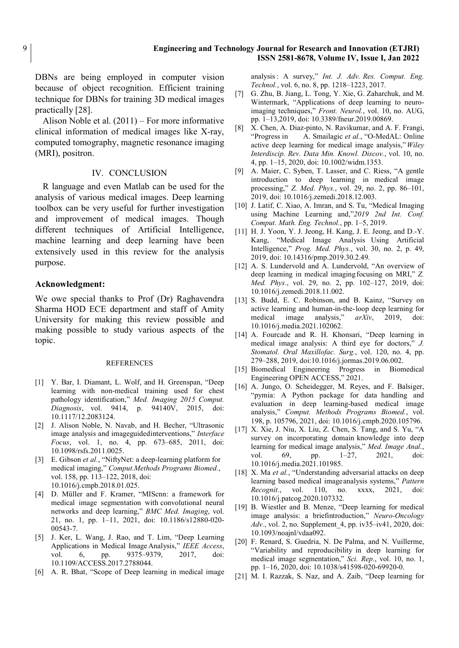DBNs are being employed in computer vision because of object recognition. Efficient training technique for DBNs for training 3D medical images practically [28].

Alison Noble et al. (2011) – For more informative clinical information of medical images like X-ray, computed tomography, magnetic resonance imaging (MRI), positron.

## IV. CONCLUSION

R language and even Matlab can be used for the analysis of various medical images. Deep learning toolbox can be very useful for further investigation and improvement of medical images. Though different techniques of Artificial Intelligence, machine learning and deep learning have been extensively used in this review for the analysis purpose.

## Acknowledgment:

We owe special thanks to Prof (Dr) Raghavendra Sharma HOD ECE department and staff of Amity University for making this review possible and making possible to study various aspects of the topic.

#### REFERENCES

- [1] Y. Bar, I. Diamant, L. Wolf, and H. Greenspan, "Deep learning with non-medical training used for chest pathology identification," Med. Imaging 2015 Comput. Diagnosis, vol. 9414, p. 94140V, 2015, doi: 10.1117/12.2083124.
- [2] J. Alison Noble, N. Navab, and H. Becher, "Ultrasonic image analysis and imageguided interventions," Interface Focus, vol. 1, no. 4, pp. 673–685, 2011, doi: 10.1098/rsfs.2011.0025.
- [3] E. Gibson *et al.*, "NiftyNet: a deep-learning platform for medical imaging," Comput. Methods Programs Biomed., vol. 158, pp. 113–122, 2018, doi: 10.1016/j.cmpb.2018.01.025.
- [4] D. Müller and F. Kramer, "MIScnn: a framework for medical image segmentation with convolutional neural networks and deep learning," BMC Med. Imaging, vol. 21, no. 1, pp. 1–11, 2021, doi: 10.1186/s12880-020- 00543-7.
- [5] J. Ker, L. Wang, J. Rao, and T. Lim, "Deep Learning Applications in Medical Image Analysis," IEEE Access, vol. 6, pp. 9375–9379, 2017, doi: 10.1109/ACCESS.2017.2788044.
- [6] A. R. Bhat, "Scope of Deep learning in medical image

analysis : A survey," Int. J. Adv. Res. Comput. Eng. Technol., vol. 6, no. 8, pp. 1218–1223, 2017.

- [7] G. Zhu, B. Jiang, L. Tong, Y. Xie, G. Zaharchuk, and M. Wintermark, "Applications of deep learning to neuroimaging techniques," Front. Neurol., vol. 10, no. AUG, pp. 1–13, 2019, doi: 10.3389/fneur.2019.00869.
- [8] X. Chen, A. Diaz-pinto, N. Ravikumar, and A. F. Frangi, "Progress in A. Smailagic et al., "O-MedAL: Online" active deep learning for medical image analysis," Wiley Interdiscip. Rev. Data Min. Knowl. Discov., vol. 10, no. 4, pp. 1–15, 2020, doi: 10.1002/widm.1353.
- [9] A. Maier, C. Syben, T. Lasser, and C. Riess, "A gentle introduction to deep learning in medical image processing," Z. Med. Phys., vol. 29, no. 2, pp. 86–101, 2019, doi: 10.1016/j.zemedi.2018.12.003.
- [10] J. Latif, C. Xiao, A. Imran, and S. Tu, "Medical Imaging using Machine Learning and,"2019 2nd Int. Conf. Comput. Math. Eng. Technol., pp. 1–5, 2019.
- [11] H. J. Yoon, Y. J. Jeong, H. Kang, J. E. Jeong, and D.-Y. Kang, "Medical Image Analysis Using Artificial Intelligence," Prog. Med. Phys., vol. 30, no. 2, p. 49, 2019, doi: 10.14316/pmp.2019.30.2.49.
- [12] A. S. Lundervold and A. Lundervold, "An overview of deep learning in medical imaging focusing on MRI," Z. Med. Phys., vol. 29, no. 2, pp. 102–127, 2019, doi: 10.1016/j.zemedi.2018.11.002.
- [13] S. Budd, E. C. Robinson, and B. Kainz, "Survey on active learning and human-in-the- loop deep learning for medical image analysis," arXiv, 2019, doi: 10.1016/j.media.2021.102062.
- [14] A. Fourcade and R. H. Khonsari, "Deep learning in medical image analysis: A third eye for doctors," J. Stomatol. Oral Maxillofac. Surg., vol. 120, no. 4, pp. 279–288, 2019, doi: 10.1016/j.jormas.2019.06.002.
- [15] Biomedical Engineering Progress in Biomedical Engineering OPEN ACCESS," 2021.
- [16] A. Jungo, O. Scheidegger, M. Reyes, and F. Balsiger, "pymia: A Python package for data handling and evaluation in deep learning-based medical image analysis," Comput. Methods Programs Biomed., vol. 198, p. 105796, 2021, doi: 10.1016/j.cmpb.2020.105796.
- [17] X. Xie, J. Niu, X. Liu, Z. Chen, S. Tang, and S. Yu, "A survey on incorporating domain knowledge into deep learning for medical image analysis," Med. Image Anal., vol. 69, pp.  $1-27$ , 2021, doi: 10.1016/j.media.2021.101985.
- [18] X. Ma et al., "Understanding adversarial attacks on deep learning based medical image analysis systems," Pattern Recognit., vol. 110, no. xxxx, 2021, doi: 10.1016/j.patcog.2020.107332.
- [19] B. Wiestler and B. Menze, "Deep learning for medical image analysis: a briefintroduction," Neuro-Oncology  $Adv.$ , vol. 2, no. Supplement 4, pp. iv35–iv41, 2020, doi: 10.1093/noajnl/vdaa092.
- [20] F. Renard, S. Guedria, N. De Palma, and N. Vuillerme, "Variability and reproducibility in deep learning for medical image segmentation," Sci. Rep., vol. 10, no. 1, pp. 1–16, 2020, doi: 10.1038/s41598-020-69920-0.
- [21] M. I. Razzak, S. Naz, and A. Zaib, "Deep learning for